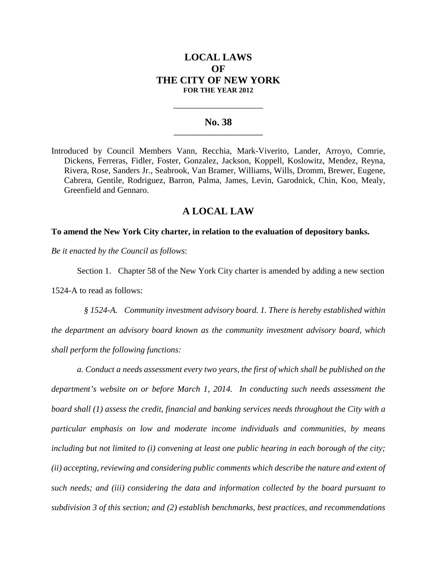# **LOCAL LAWS OF THE CITY OF NEW YORK FOR THE YEAR 2012**

## **No. 38 \_\_\_\_\_\_\_\_\_\_\_\_\_\_\_\_\_\_\_\_\_\_\_\_\_**

**\_\_\_\_\_\_\_\_\_\_\_\_\_\_\_\_\_\_\_\_\_\_\_\_\_\_\_\_**

Introduced by Council Members Vann, Recchia, Mark-Viverito, Lander, Arroyo, Comrie, Dickens, Ferreras, Fidler, Foster, Gonzalez, Jackson, Koppell, Koslowitz, Mendez, Reyna, Rivera, Rose, Sanders Jr., Seabrook, Van Bramer, Williams, Wills, Dromm, Brewer, Eugene, Cabrera, Gentile, Rodriguez, Barron, Palma, James, Levin, Garodnick, Chin, Koo, Mealy, Greenfield and Gennaro.

## **A LOCAL LAW**

### **To amend the New York City charter, in relation to the evaluation of depository banks.**

*Be it enacted by the Council as follows*:

Section 1. Chapter 58 of the New York City charter is amended by adding a new section 1524-A to read as follows:

*§ 1524-A. Community investment advisory board. 1. There is hereby established within the department an advisory board known as the community investment advisory board, which shall perform the following functions:*

*a. Conduct a needs assessment every two years, the first of which shall be published on the department's website on or before March 1, 2014. In conducting such needs assessment the board shall (1) assess the credit, financial and banking services needs throughout the City with a particular emphasis on low and moderate income individuals and communities, by means including but not limited to (i) convening at least one public hearing in each borough of the city; (ii) accepting, reviewing and considering public comments which describe the nature and extent of such needs; and (iii) considering the data and information collected by the board pursuant to subdivision 3 of this section; and (2) establish benchmarks, best practices, and recommendations*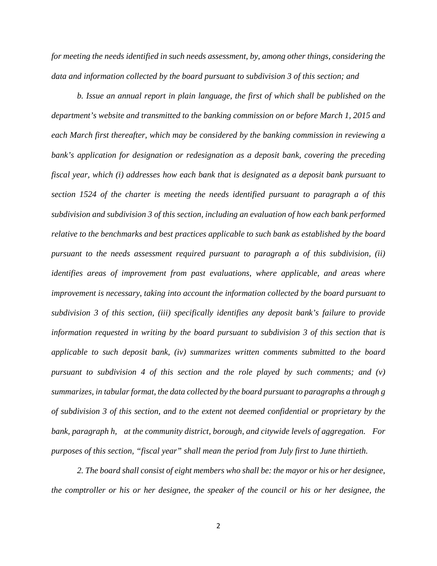*for meeting the needs identified in such needs assessment, by, among other things, considering the data and information collected by the board pursuant to subdivision 3 of this section; and*

*b. Issue an annual report in plain language, the first of which shall be published on the department's website and transmitted to the banking commission on or before March 1, 2015 and each March first thereafter, which may be considered by the banking commission in reviewing a bank's application for designation or redesignation as a deposit bank, covering the preceding fiscal year, which (i) addresses how each bank that is designated as a deposit bank pursuant to section 1524 of the charter is meeting the needs identified pursuant to paragraph a of this subdivision and subdivision 3 of this section, including an evaluation of how each bank performed relative to the benchmarks and best practices applicable to such bank as established by the board pursuant to the needs assessment required pursuant to paragraph a of this subdivision, (ii) identifies areas of improvement from past evaluations, where applicable, and areas where improvement is necessary, taking into account the information collected by the board pursuant to subdivision 3 of this section, (iii) specifically identifies any deposit bank's failure to provide information requested in writing by the board pursuant to subdivision 3 of this section that is applicable to such deposit bank, (iv) summarizes written comments submitted to the board pursuant to subdivision 4 of this section and the role played by such comments; and (v) summarizes, in tabular format, the data collected by the board pursuant to paragraphs a through g of subdivision 3 of this section, and to the extent not deemed confidential or proprietary by the bank, paragraph h, at the community district, borough, and citywide levels of aggregation. For purposes of this section, "fiscal year" shall mean the period from July first to June thirtieth.*

*2. The board shall consist of eight members who shall be: the mayor or his or her designee, the comptroller or his or her designee, the speaker of the council or his or her designee, the*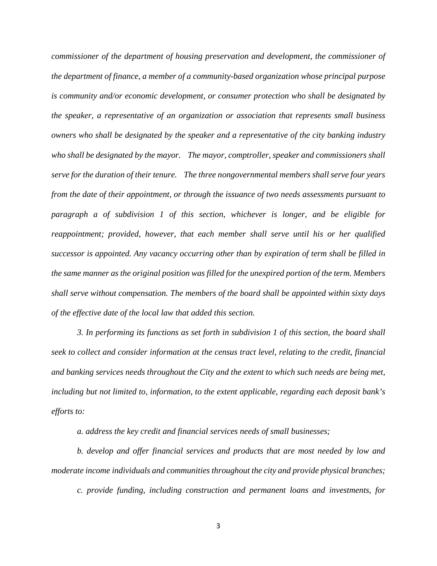*commissioner of the department of housing preservation and development, the commissioner of the department of finance, a member of a community-based organization whose principal purpose is community and/or economic development, or consumer protection who shall be designated by the speaker, a representative of an organization or association that represents small business owners who shall be designated by the speaker and a representative of the city banking industry who shall be designated by the mayor. The mayor, comptroller, speaker and commissioners shall serve for the duration of their tenure. The three nongovernmental members shall serve four years from the date of their appointment, or through the issuance of two needs assessments pursuant to paragraph a of subdivision 1 of this section, whichever is longer, and be eligible for reappointment; provided, however, that each member shall serve until his or her qualified successor is appointed. Any vacancy occurring other than by expiration of term shall be filled in the same manner as the original position was filled for the unexpired portion of the term. Members shall serve without compensation. The members of the board shall be appointed within sixty days of the effective date of the local law that added this section.*

*3. In performing its functions as set forth in subdivision 1 of this section, the board shall seek to collect and consider information at the census tract level, relating to the credit, financial and banking services needs throughout the City and the extent to which such needs are being met, including but not limited to, information, to the extent applicable, regarding each deposit bank's efforts to:*

*a. address the key credit and financial services needs of small businesses;*

*b. develop and offer financial services and products that are most needed by low and moderate income individuals and communities throughout the city and provide physical branches; c. provide funding, including construction and permanent loans and investments, for*

3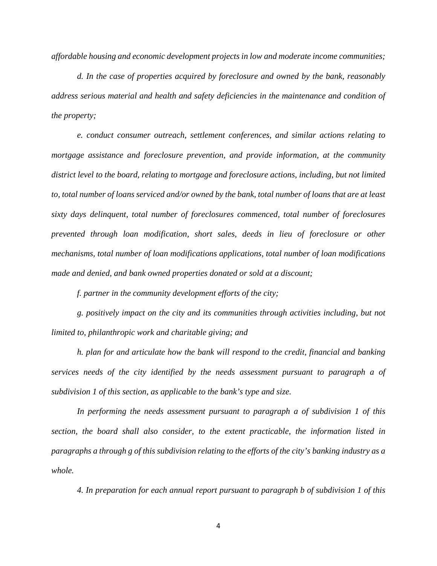*affordable housing and economic development projects in low and moderate income communities;*

*d. In the case of properties acquired by foreclosure and owned by the bank, reasonably address serious material and health and safety deficiencies in the maintenance and condition of the property;*

*e. conduct consumer outreach, settlement conferences, and similar actions relating to mortgage assistance and foreclosure prevention, and provide information, at the community district level to the board, relating to mortgage and foreclosure actions, including, but not limited to, total number of loans serviced and/or owned by the bank, total number of loans that are at least sixty days delinquent, total number of foreclosures commenced, total number of foreclosures prevented through loan modification, short sales, deeds in lieu of foreclosure or other mechanisms, total number of loan modifications applications, total number of loan modifications made and denied, and bank owned properties donated or sold at a discount;*

*f. partner in the community development efforts of the city;*

*g. positively impact on the city and its communities through activities including, but not limited to, philanthropic work and charitable giving; and*

*h. plan for and articulate how the bank will respond to the credit, financial and banking services needs of the city identified by the needs assessment pursuant to paragraph a of subdivision 1 of this section, as applicable to the bank's type and size.*

*In performing the needs assessment pursuant to paragraph a of subdivision 1 of this section, the board shall also consider, to the extent practicable, the information listed in paragraphs a through g of this subdivision relating to the efforts of the city's banking industry as a whole.*

*4. In preparation for each annual report pursuant to paragraph b of subdivision 1 of this*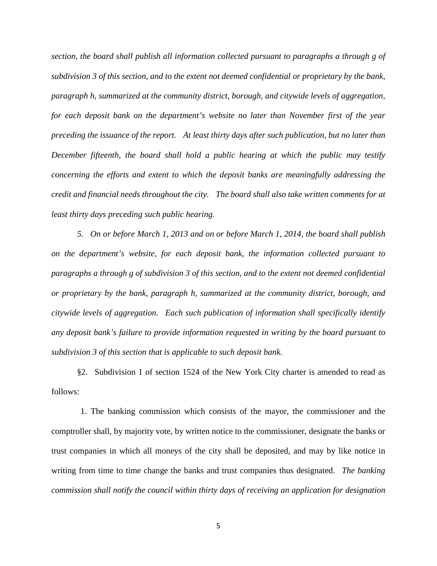*section, the board shall publish all information collected pursuant to paragraphs a through g of subdivision 3 of this section, and to the extent not deemed confidential or proprietary by the bank, paragraph h, summarized at the community district, borough, and citywide levels of aggregation, for each deposit bank on the department's website no later than November first of the year preceding the issuance of the report. At least thirty days after such publication, but no later than December fifteenth, the board shall hold a public hearing at which the public may testify concerning the efforts and extent to which the deposit banks are meaningfully addressing the credit and financial needs throughout the city. The board shall also take written comments for at least thirty days preceding such public hearing.*

*5. On or before March 1, 2013 and on or before March 1, 2014, the board shall publish on the department's website, for each deposit bank, the information collected pursuant to paragraphs a through g of subdivision 3 of this section, and to the extent not deemed confidential or proprietary by the bank, paragraph h, summarized at the community district, borough, and citywide levels of aggregation. Each such publication of information shall specifically identify any deposit bank's failure to provide information requested in writing by the board pursuant to subdivision 3 of this section that is applicable to such deposit bank.*

§2. Subdivision 1 of section 1524 of the New York City charter is amended to read as follows:

1. The banking commission which consists of the mayor, the commissioner and the comptroller shall, by majority vote, by written notice to the commissioner, designate the banks or trust companies in which all moneys of the city shall be deposited, and may by like notice in writing from time to time change the banks and trust companies thus designated. *The banking commission shall notify the council within thirty days of receiving an application for designation*